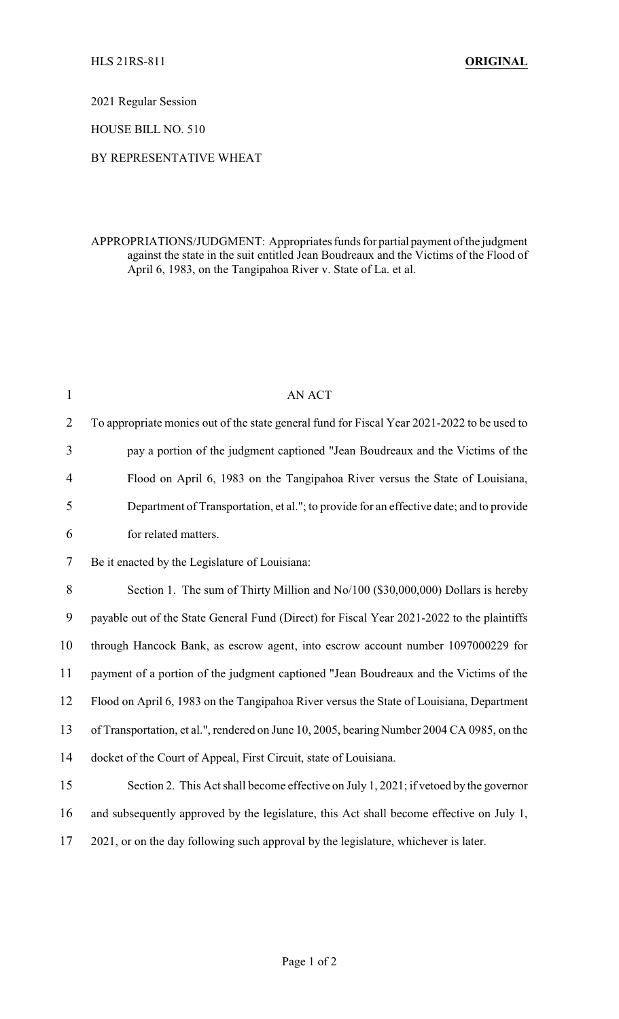2021 Regular Session

HOUSE BILL NO. 510

## BY REPRESENTATIVE WHEAT

## APPROPRIATIONS/JUDGMENT: Appropriates funds for partial payment of the judgment against the state in the suit entitled Jean Boudreaux and the Victims of the Flood of April 6, 1983, on the Tangipahoa River v. State of La. et al.

| $\mathbf{1}$   | <b>AN ACT</b>                                                                               |
|----------------|---------------------------------------------------------------------------------------------|
| $\overline{2}$ | To appropriate monies out of the state general fund for Fiscal Year 2021-2022 to be used to |
| 3              | pay a portion of the judgment captioned "Jean Boudreaux and the Victims of the              |
| 4              | Flood on April 6, 1983 on the Tangipahoa River versus the State of Louisiana,               |
| 5              | Department of Transportation, et al."; to provide for an effective date; and to provide     |
| 6              | for related matters.                                                                        |
| 7              | Be it enacted by the Legislature of Louisiana:                                              |
| 8              | Section 1. The sum of Thirty Million and No/100 (\$30,000,000) Dollars is hereby            |
| 9              | payable out of the State General Fund (Direct) for Fiscal Year 2021-2022 to the plaintiffs  |
| 10             | through Hancock Bank, as escrow agent, into escrow account number 1097000229 for            |
| 11             | payment of a portion of the judgment captioned "Jean Boudreaux and the Victims of the       |
| 12             | Flood on April 6, 1983 on the Tangipahoa River versus the State of Louisiana, Department    |
| 13             | of Transportation, et al.", rendered on June 10, 2005, bearing Number 2004 CA 0985, on the  |
| 14             | docket of the Court of Appeal, First Circuit, state of Louisiana.                           |
| 15             | Section 2. This Act shall become effective on July 1, 2021; if vetoed by the governor       |
| 16             | and subsequently approved by the legislature, this Act shall become effective on July 1,    |
| 17             | 2021, or on the day following such approval by the legislature, whichever is later.         |